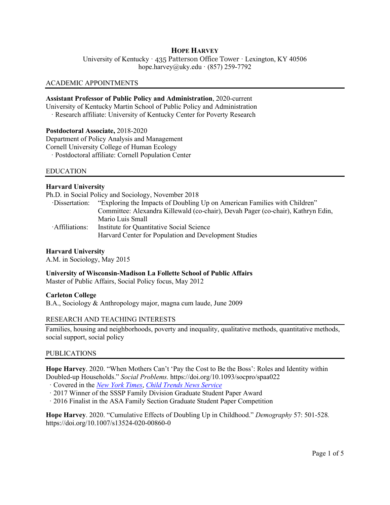# **HOPE HARVEY**

University of Kentucky · 435 Patterson Office Tower · Lexington, KY 40506 hope.harvey@uky.edu  $\cdot$  (857) 259-7792

#### ACADEMIC APPOINTMENTS

### **Assistant Professor of Public Policy and Administration**, 2020-current

University of Kentucky Martin School of Public Policy and Administration

· Research affiliate: University of Kentucky Center for Poverty Research

### **Postdoctoral Associate,** 2018-2020

Department of Policy Analysis and Management Cornell University College of Human Ecology

· Postdoctoral affiliate: Cornell Population Center

#### EDUCATION

## **Harvard University**

Ph.D. in Social Policy and Sociology, November 2018

| ·Dissertation: | "Exploring the Impacts of Doubling Up on American Families with Children"        |
|----------------|----------------------------------------------------------------------------------|
|                | Committee: Alexandra Killewald (co-chair), Devah Pager (co-chair), Kathryn Edin, |
|                | Mario Luis Small                                                                 |
| Affiliations:  | Institute for Quantitative Social Science                                        |
|                | Harvard Center for Population and Development Studies                            |

## **Harvard University**

A.M. in Sociology, May 2015

**University of Wisconsin-Madison La Follette School of Public Affairs**

Master of Public Affairs, Social Policy focus, May 2012

## **Carleton College**

B.A., Sociology & Anthropology major, magna cum laude, June 2009

#### RESEARCH AND TEACHING INTERESTS

Families, housing and neighborhoods, poverty and inequality, qualitative methods, quantitative methods, social support, social policy

#### PUBLICATIONS

**Hope Harvey**. 2020. "When Mothers Can't 'Pay the Cost to Be the Boss': Roles and Identity within Doubled-up Households." *Social Problems.* https://doi.org/10.1093/socpro/spaa022

· Covered in the *[New York Times](https://nyti.ms/2xmJHIc)*, *[Child Trends News Service](https://nam04.safelinks.protection.outlook.com/?url=https%3A%2F%2Furldefense.proofpoint.com%2Fv2%2Furl%3Fu%3Dhttps-3A__na01.safelinks.protection.outlook.com_-3Furl-3Dhttps-253A-252F-252Fwww.childtrends.org-252Fchild-2Dtrends-2Dnews-2Dservice-252F-26data-3D02-257C01-257Ckdurante-2540business.rutgers.edu-257C1bacb10ade0e4b2ea11508d62876661f-257Cb92d2b234d35447093ff69aca6632ffe-257C1-257C0-257C636740886325581459-26sdata-3DQ8yWKuZXngu5lC4JtEvZzx9nlt9eEga-252FKecb3MrqQWM-253D-26reserved-3D0%26d%3DDwMFAg%26c%3DheEcP2AsrLOv4XP8e7I9NA%26r%3DUA0lOtaA70wgrsDs5F9hBqXQHi67eYnrEEX5vE2o22Q%26m%3Doht_puFInhVDGjxPYZ5Iz8d6qYSw-wYUHnD6XruMyFU%26s%3DMnB7_49e2fYIlq7_At2yqrZIRM8RKEU9rizUnjTkvoY%26e%3D&data=02%7C01%7C%7C89793f69131e46fb400508d7f055b90e%7C380c6d8fdce34747b5fda656050bfd7f%7C1%7C0%7C637242123465308560&sdata=OUDjXCVGPR%2FgR6z%2BW8XGQvduSuNNpK%2BKs1eKi1HAm0s%3D&reserved=0)*

- · 2017 Winner of the SSSP Family Division Graduate Student Paper Award
- · 2016 Finalist in the ASA Family Section Graduate Student Paper Competition

**Hope Harvey**. 2020. "Cumulative Effects of Doubling Up in Childhood." *Demography* 57: 501-528*.* https://doi.org/10.1007/s13524-020-00860-0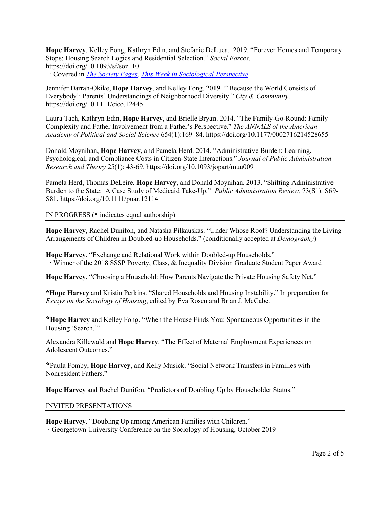**Hope Harvey**, Kelley Fong, Kathryn Edin, and Stefanie DeLuca. 2019. "Forever Homes and Temporary Stops: Housing Search Logics and Residential Selection." *Social Forces*. https://doi.org/10.1093/sf/soz110

· Covered in *[The Society Pages](https://thesocietypages.org/discoveries/2020/01/29/make-yourself-at-home-unless-youre-renting/)*, *[This Week in Sociological Perspective](http://twispaudio.libsyn.com/)*

Jennifer Darrah-Okike, **Hope Harvey**, and Kelley Fong. 2019. "'Because the World Consists of Everybody': Parents' Understandings of Neighborhood Diversity." *City & Community*. https://doi.org/10.1111/cico.12445

Laura Tach, Kathryn Edin, **Hope Harvey**, and Brielle Bryan. 2014. "The Family-Go-Round: Family Complexity and Father Involvement from a Father's Perspective." *The ANNALS of the American Academy of Political and Social Science* 654(1):169–84. https://doi.org/10.1177/0002716214528655

Donald Moynihan, **Hope Harvey**, and Pamela Herd. 2014. "Administrative Burden: Learning, Psychological, and Compliance Costs in Citizen-State Interactions." *Journal of Public Administration Research and Theory* 25(1): 43-69. https://doi.org/10.1093/jopart/muu009

Pamela Herd, Thomas DeLeire, **Hope Harvey**, and Donald Moynihan. 2013. "Shifting Administrative Burden to the State: A Case Study of Medicaid Take-Up." *Public Administration Review,* 73(S1): S69- S81. https://doi.org/10.1111/puar.12114

IN PROGRESS (**\*** indicates equal authorship)

**Hope Harvey**, Rachel Dunifon, and Natasha Pilkauskas. "Under Whose Roof? Understanding the Living Arrangements of Children in Doubled-up Households." (conditionally accepted at *Demography*)

**Hope Harvey**. "Exchange and Relational Work within Doubled-up Households." · Winner of the 2018 SSSP Poverty, Class, & Inequality Division Graduate Student Paper Award

**Hope Harvey**. "Choosing a Household: How Parents Navigate the Private Housing Safety Net."

**\*Hope Harvey** and Kristin Perkins. "Shared Households and Housing Instability." In preparation for *Essays on the Sociology of Housing*, edited by Eva Rosen and Brian J. McCabe.

**\*Hope Harvey** and Kelley Fong. "When the House Finds You: Spontaneous Opportunities in the Housing 'Search."

Alexandra Killewald and **Hope Harvey**. "The Effect of Maternal Employment Experiences on Adolescent Outcomes."

**\***Paula Fomby, **Hope Harvey,** and Kelly Musick. "Social Network Transfers in Families with Nonresident Fathers."

**Hope Harvey** and Rachel Dunifon. "Predictors of Doubling Up by Householder Status."

## INVITED PRESENTATIONS

**Hope Harvey**. "Doubling Up among American Families with Children." · Georgetown University Conference on the Sociology of Housing, October 2019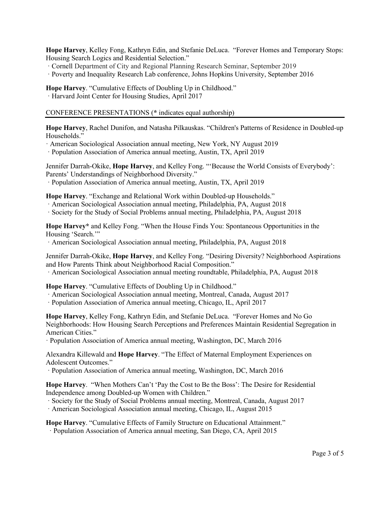**Hope Harvey**, Kelley Fong, Kathryn Edin, and Stefanie DeLuca. "Forever Homes and Temporary Stops: Housing Search Logics and Residential Selection."

- · Cornell Department of City and Regional Planning Research Seminar, September 2019
- · Poverty and Inequality Research Lab conference, Johns Hopkins University, September 2016

**Hope Harvey**. "Cumulative Effects of Doubling Up in Childhood."

· Harvard Joint Center for Housing Studies, April 2017

CONFERENCE PRESENTATIONS (**\*** indicates equal authorship)

**Hope Harvey**, Rachel Dunifon, and Natasha Pilkauskas. "Children's Patterns of Residence in Doubled-up Households."

· American Sociological Association annual meeting, New York, NY August 2019

· Population Association of America annual meeting, Austin, TX, April 2019

Jennifer Darrah-Okike, **Hope Harvey**, and Kelley Fong. "'Because the World Consists of Everybody': Parents' Understandings of Neighborhood Diversity."

· Population Association of America annual meeting, Austin, TX, April 2019

**Hope Harvey**. "Exchange and Relational Work within Doubled-up Households."

- · American Sociological Association annual meeting, Philadelphia, PA, August 2018
- · Society for the Study of Social Problems annual meeting, Philadelphia, PA, August 2018

**Hope Harvey\*** and Kelley Fong. "When the House Finds You: Spontaneous Opportunities in the Housing 'Search.'"

· American Sociological Association annual meeting, Philadelphia, PA, August 2018

Jennifer Darrah-Okike, **Hope Harvey**, and Kelley Fong. "Desiring Diversity? Neighborhood Aspirations and How Parents Think about Neighborhood Racial Composition."

· American Sociological Association annual meeting roundtable, Philadelphia, PA, August 2018

**Hope Harvey**. "Cumulative Effects of Doubling Up in Childhood."

· American Sociological Association annual meeting, Montreal, Canada, August 2017

· Population Association of America annual meeting, Chicago, IL, April 2017

**Hope Harvey**, Kelley Fong, Kathryn Edin, and Stefanie DeLuca. "Forever Homes and No Go Neighborhoods: How Housing Search Perceptions and Preferences Maintain Residential Segregation in American Cities."

· Population Association of America annual meeting, Washington, DC, March 2016

Alexandra Killewald and **Hope Harvey**. "The Effect of Maternal Employment Experiences on Adolescent Outcomes."

· Population Association of America annual meeting, Washington, DC, March 2016

**Hope Harvey**. "When Mothers Can't 'Pay the Cost to Be the Boss': The Desire for Residential Independence among Doubled-up Women with Children."

· Society for the Study of Social Problems annual meeting, Montreal, Canada, August 2017

· American Sociological Association annual meeting, Chicago, IL, August 2015

**Hope Harvey**. "Cumulative Effects of Family Structure on Educational Attainment." · Population Association of America annual meeting, San Diego, CA, April 2015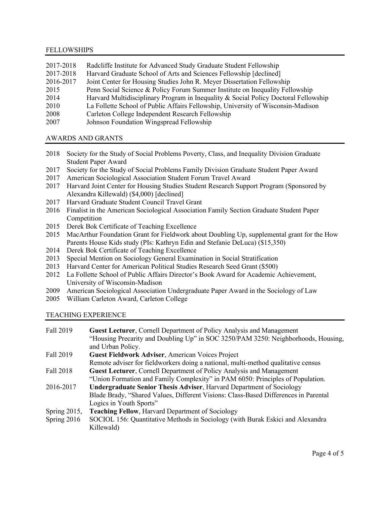### FELLOWSHIPS

| 2017-2018 | Radcliffe Institute for Advanced Study Graduate Student Fellowship                  |
|-----------|-------------------------------------------------------------------------------------|
| 2017-2018 | Harvard Graduate School of Arts and Sciences Fellowship [declined]                  |
| 2016-2017 | Joint Center for Housing Studies John R. Meyer Dissertation Fellowship              |
| 2015      | Penn Social Science & Policy Forum Summer Institute on Inequality Fellowship        |
| 2014      | Harvard Multidisciplinary Program in Inequality & Social Policy Doctoral Fellowship |
| 2010      | La Follette School of Public Affairs Fellowship, University of Wisconsin-Madison    |
| 2008      | Carleton College Independent Research Fellowship                                    |
| 2007      | Johnson Foundation Wingspread Fellowship                                            |

### AWARDS AND GRANTS

- 2018 Society for the Study of Social Problems Poverty, Class, and Inequality Division Graduate Student Paper Award
- 2017 Society for the Study of Social Problems Family Division Graduate Student Paper Award
- 2017 American Sociological Association Student Forum Travel Award
- 2017 Harvard Joint Center for Housing Studies Student Research Support Program (Sponsored by Alexandra Killewald) (\$4,000) [declined]
- 2017 Harvard Graduate Student Council Travel Grant
- 2016 Finalist in the American Sociological Association Family Section Graduate Student Paper Competition
- 2015 Derek Bok Certificate of Teaching Excellence
- 2015 MacArthur Foundation Grant for Fieldwork about Doubling Up, supplemental grant for the How Parents House Kids study (PIs: Kathryn Edin and Stefanie DeLuca) (\$15,350)
- 2014 Derek Bok Certificate of Teaching Excellence
- 2013 Special Mention on Sociology General Examination in Social Stratification
- 2013 Harvard Center for American Political Studies Research Seed Grant (\$500)
- 2012 La Follette School of Public Affairs Director's Book Award for Academic Achievement, University of Wisconsin-Madison
- 2009 American Sociological Association Undergraduate Paper Award in the Sociology of Law
- 2005 William Carleton Award, Carleton College

### TEACHING EXPERIENCE

| Fall 2019       | Guest Lecturer, Cornell Department of Policy Analysis and Management                |
|-----------------|-------------------------------------------------------------------------------------|
|                 | "Housing Precarity and Doubling Up" in SOC 3250/PAM 3250: Neighborhoods, Housing,   |
|                 | and Urban Policy.                                                                   |
| Fall 2019       |                                                                                     |
|                 | Guest Fieldwork Adviser, American Voices Project                                    |
|                 | Remote adviser for fieldworkers doing a national, multi-method qualitative census   |
| Fall 2018       | <b>Guest Lecturer, Cornell Department of Policy Analysis and Management</b>         |
|                 | "Union Formation and Family Complexity" in PAM 6050: Principles of Population.      |
| 2016-2017       | <b>Undergraduate Senior Thesis Adviser, Harvard Department of Sociology</b>         |
|                 | Blade Brady, "Shared Values, Different Visions: Class-Based Differences in Parental |
|                 | Logics in Youth Sports"                                                             |
| Spring $2015$ , | <b>Teaching Fellow, Harvard Department of Sociology</b>                             |
| Spring $2016$   | SOCIOL 156: Quantitative Methods in Sociology (with Burak Eskici and Alexandra      |
|                 |                                                                                     |

Killewald)